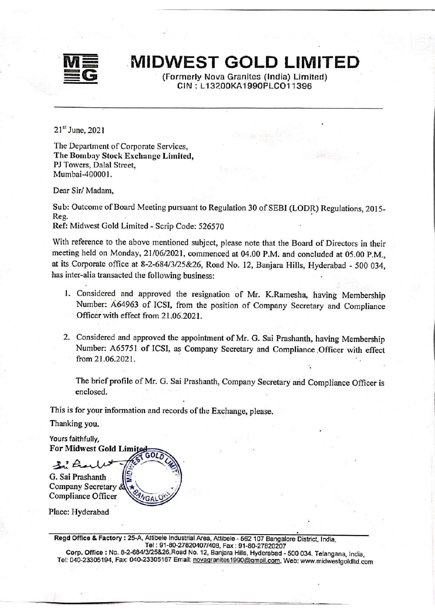

# MIDWEST GOLD LIMITED

(Formerly Nova Granites (India) Limited) CIN : L13200KA1990PLCO11396

21" June, 2021

The Department of Corporate Services, The Bombay Stock Exchange Limited, PJ Towers, Dalal Street, Mumbai-400001.

Dear Sir/ Madam,

Sub: Outcome of Board Meeting pursuant to Regulation 30 of SEBI (LODR) Regulations, 2015-<br>Reg.

Ref: Midwest Gold Limited - Scrip Code: 526570

With reference to the above mentioned subject, please note that the Board of Directors in their meeting held on Monday, 21/06/2021, commenced at 04.00 P.M. and concluded at 05.00 P.M.,, at its Corporate office at 8-2-684/3/25&26, Road No. 12, Banjara Hills, Hyderabad - 500 034, has inter-alia transacted the following business: . Ref. Midwest Gold Limited - Scrip Code: 52<br>
With reference to the above mentioned subje<br>
meeting held on Monday, 21/06/2021, comm<br>
at its Corporate office at 8-2-684/3/25&26, h<br>
has inter-alia transacted the following bus

I

I

- 1. Considered and approved the resignation of Mr. K.Ramesha, having Membership Number: A64963 of ICSI, from the position of Company Secretary and Compliance Officer with effect from 21.06.2021.
- 2. Considered and approved the appointment of Mr. G. Sai Prashanth, having Membership Number: A65751 of ICSI, as Company Secretary and Compliance Officer with effect from 21.06.2021. . 1. Considered and approved the<br>
Number: A64963 of ICSI, from<br>
Officer with effect from 21.06.20<br>
2. Considered and approved the approved the approved the approved the approved the approved the approximation 21.06.2021.<br>
T

The brief profile of Mr. G. Sai Prashanth, Company Secretary and Compliance Officer is enclosed.

This is for your information and records of the Exchange, please.

Thanking you.

Yours faithfully,

Company Secretary<br>Compliance Officer<br>Place: Hyderabad<br>Regd Office & Facto<br>Corp. Office : No<br>Tel: 040-23305194,

Place: Hyderabad

Regd Office & Factory : 25-A, Attibele Industrial Area, Attibele - 562 107 Bangalore District, India, Tel : 91-80-27820407/408, Fax : 91-80-27820207<br>Corp. Office : No. 8-2-684/3/25&26, Road No. 12, Banjara Hills, Hyderabad - 500 034. Telangana, India. Tel: 040-23305194, Fax: 040-23305167 Email: novagranites1990@gmail.com, Web: www.midwestgoldltd.com